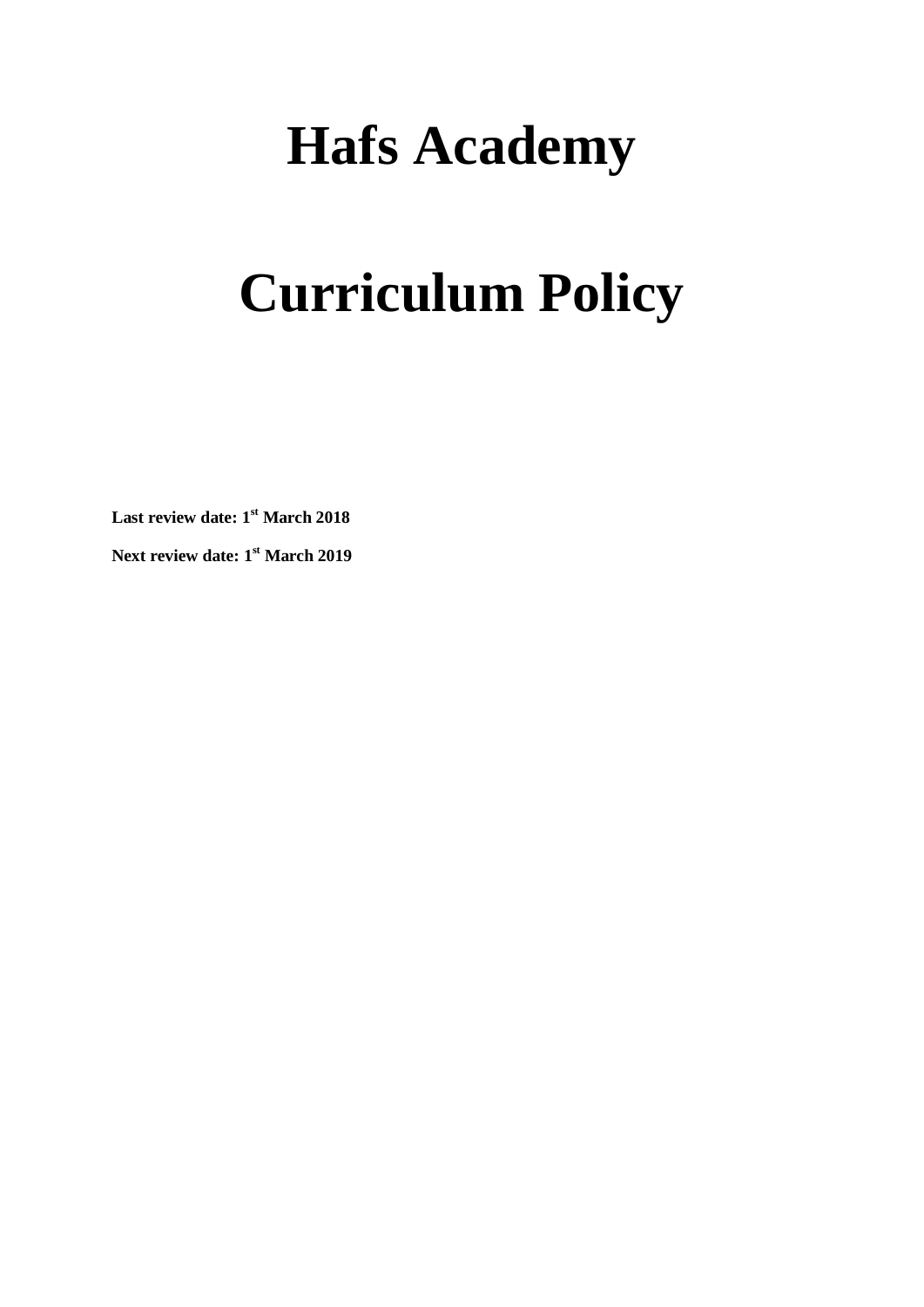# **Hafs Academy**

# **Curriculum Policy**

**Last review date: 1st March 2018**

**Next review date: 1 st March 2019**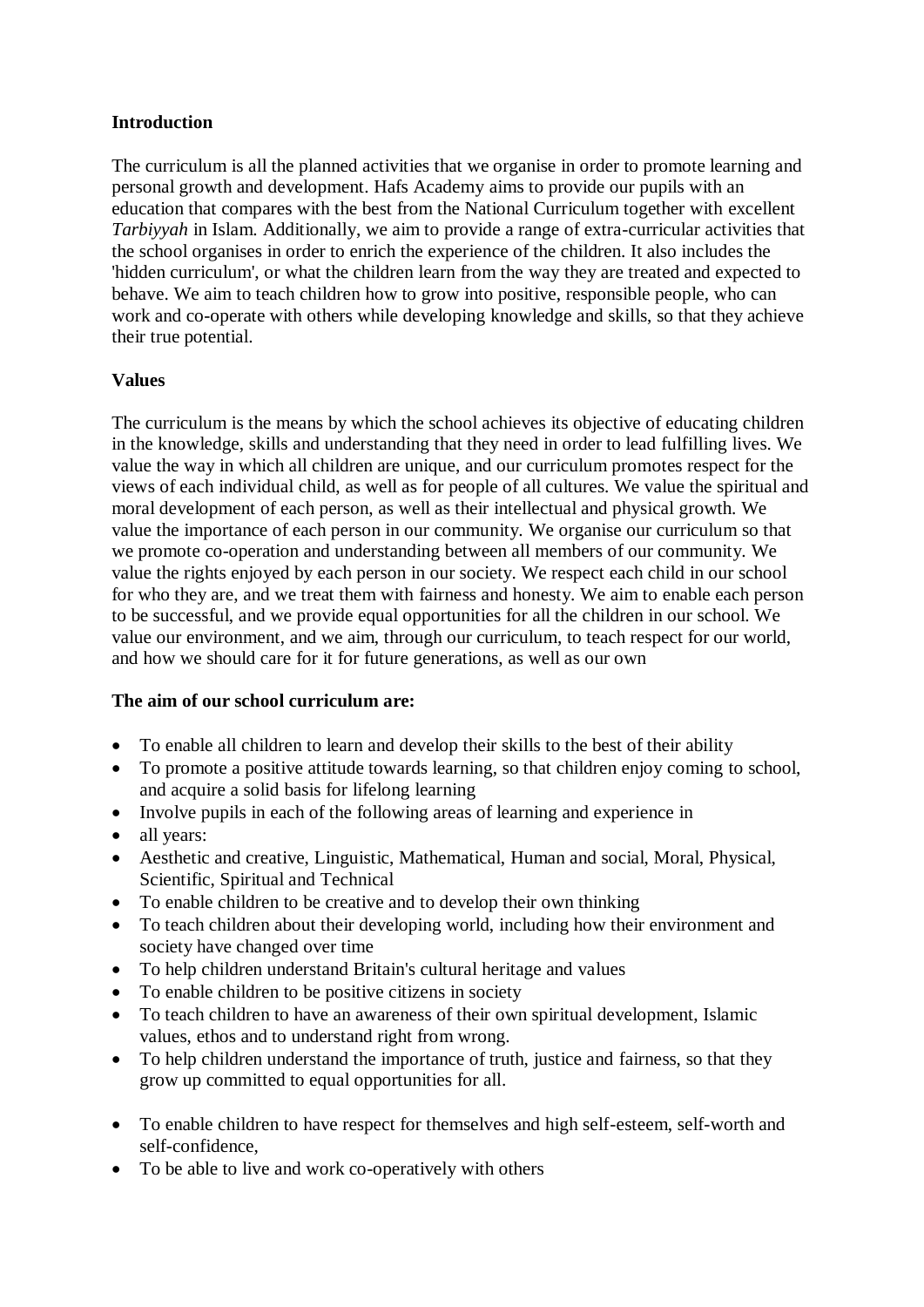#### **Introduction**

The curriculum is all the planned activities that we organise in order to promote learning and personal growth and development. Hafs Academy aims to provide our pupils with an education that compares with the best from the National Curriculum together with excellent *Tarbiyyah* in Islam. Additionally, we aim to provide a range of extra-curricular activities that the school organises in order to enrich the experience of the children. It also includes the 'hidden curriculum', or what the children learn from the way they are treated and expected to behave. We aim to teach children how to grow into positive, responsible people, who can work and co-operate with others while developing knowledge and skills, so that they achieve their true potential.

#### **Values**

The curriculum is the means by which the school achieves its objective of educating children in the knowledge, skills and understanding that they need in order to lead fulfilling lives. We value the way in which all children are unique, and our curriculum promotes respect for the views of each individual child, as well as for people of all cultures. We value the spiritual and moral development of each person, as well as their intellectual and physical growth. We value the importance of each person in our community. We organise our curriculum so that we promote co-operation and understanding between all members of our community. We value the rights enjoyed by each person in our society. We respect each child in our school for who they are, and we treat them with fairness and honesty. We aim to enable each person to be successful, and we provide equal opportunities for all the children in our school. We value our environment, and we aim, through our curriculum, to teach respect for our world, and how we should care for it for future generations, as well as our own

#### **The aim of our school curriculum are:**

- To enable all children to learn and develop their skills to the best of their ability
- To promote a positive attitude towards learning, so that children enjoy coming to school, and acquire a solid basis for lifelong learning
- Involve pupils in each of the following areas of learning and experience in
- all years:
- Aesthetic and creative, Linguistic, Mathematical, Human and social, Moral, Physical, Scientific, Spiritual and Technical
- To enable children to be creative and to develop their own thinking
- To teach children about their developing world, including how their environment and society have changed over time
- To help children understand Britain's cultural heritage and values
- To enable children to be positive citizens in society
- To teach children to have an awareness of their own spiritual development. Islamic values, ethos and to understand right from wrong.
- To help children understand the importance of truth, justice and fairness, so that they grow up committed to equal opportunities for all.
- To enable children to have respect for themselves and high self-esteem, self-worth and self-confidence,
- To be able to live and work co-operatively with others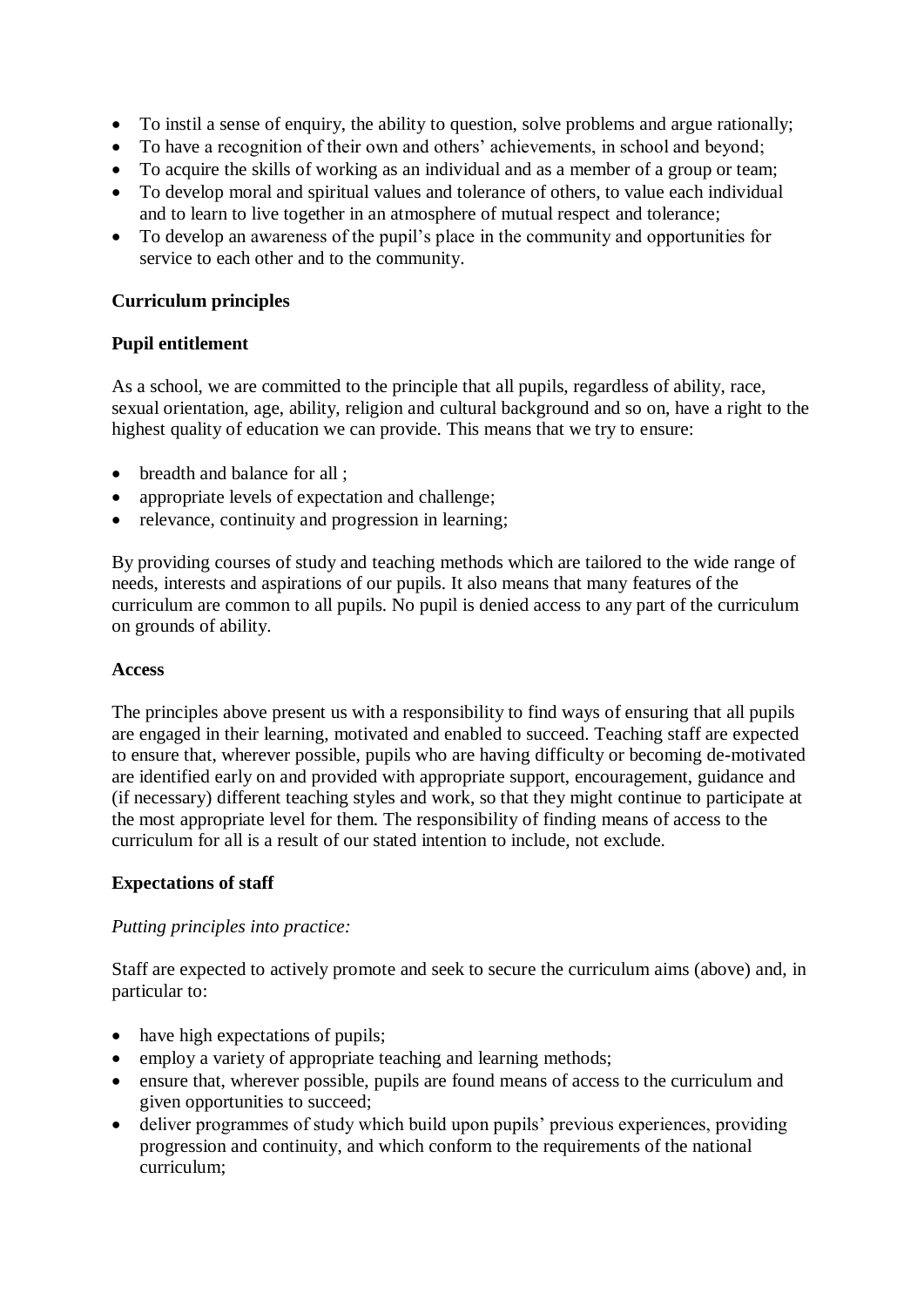- To instil a sense of enquiry, the ability to question, solve problems and argue rationally;
- To have a recognition of their own and others' achievements, in school and beyond;
- To acquire the skills of working as an individual and as a member of a group or team;
- To develop moral and spiritual values and tolerance of others, to value each individual and to learn to live together in an atmosphere of mutual respect and tolerance;
- To develop an awareness of the pupil's place in the community and opportunities for service to each other and to the community.

#### **Curriculum principles**

#### **Pupil entitlement**

As a school, we are committed to the principle that all pupils, regardless of ability, race, sexual orientation, age, ability, religion and cultural background and so on, have a right to the highest quality of education we can provide. This means that we try to ensure:

- breadth and balance for all ;
- appropriate levels of expectation and challenge;
- relevance, continuity and progression in learning;

By providing courses of study and teaching methods which are tailored to the wide range of needs, interests and aspirations of our pupils. It also means that many features of the curriculum are common to all pupils. No pupil is denied access to any part of the curriculum on grounds of ability.

#### **Access**

The principles above present us with a responsibility to find ways of ensuring that all pupils are engaged in their learning, motivated and enabled to succeed. Teaching staff are expected to ensure that, wherever possible, pupils who are having difficulty or becoming de-motivated are identified early on and provided with appropriate support, encouragement, guidance and (if necessary) different teaching styles and work, so that they might continue to participate at the most appropriate level for them. The responsibility of finding means of access to the curriculum for all is a result of our stated intention to include, not exclude.

#### **Expectations of staff**

#### *Putting principles into practice:*

Staff are expected to actively promote and seek to secure the curriculum aims (above) and, in particular to:

- have high expectations of pupils;
- employ a variety of appropriate teaching and learning methods;
- ensure that, wherever possible, pupils are found means of access to the curriculum and given opportunities to succeed;
- deliver programmes of study which build upon pupils' previous experiences, providing progression and continuity, and which conform to the requirements of the national curriculum;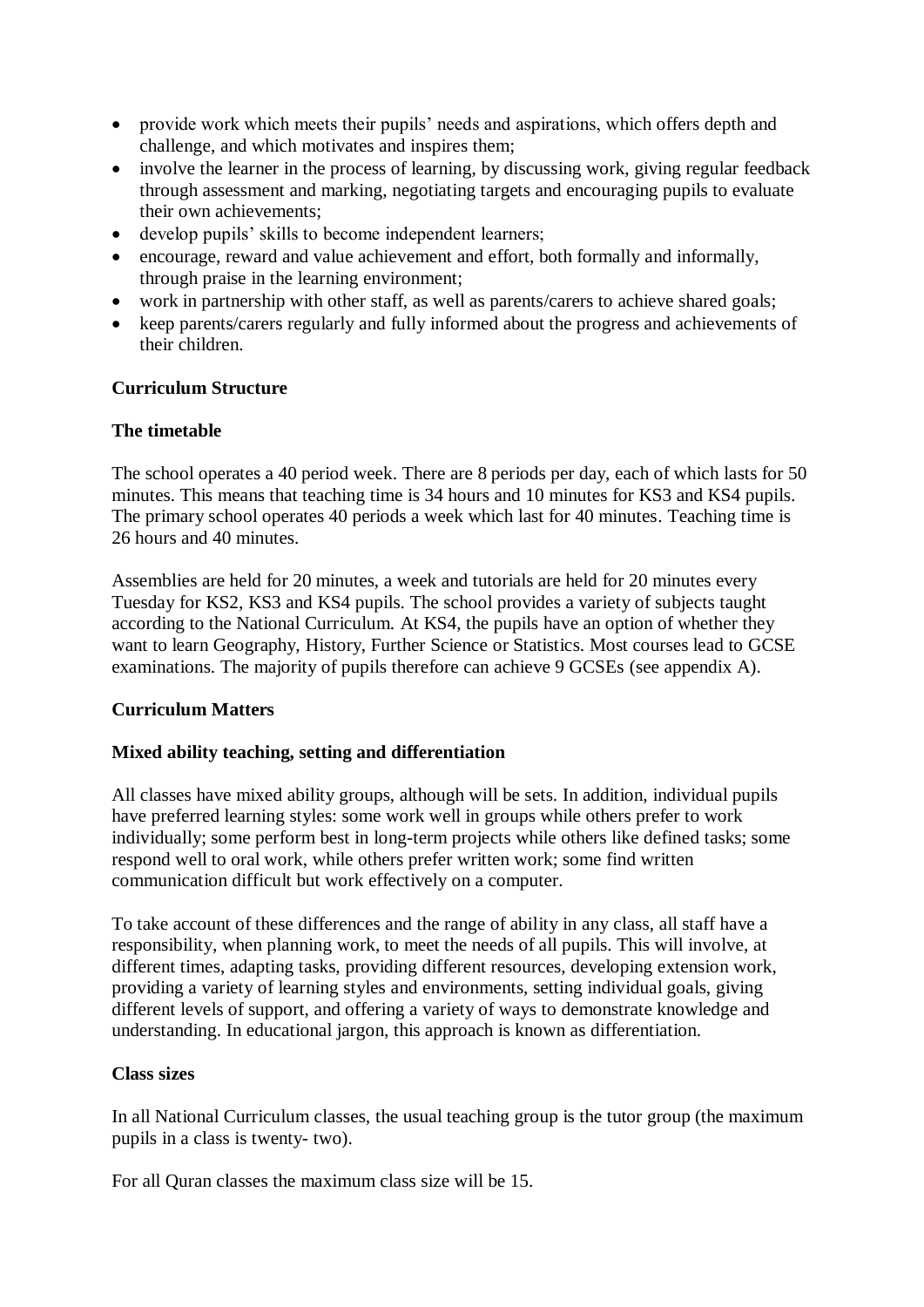- provide work which meets their pupils' needs and aspirations, which offers depth and challenge, and which motivates and inspires them;
- involve the learner in the process of learning, by discussing work, giving regular feedback through assessment and marking, negotiating targets and encouraging pupils to evaluate their own achievements;
- develop pupils' skills to become independent learners;
- encourage, reward and value achievement and effort, both formally and informally, through praise in the learning environment;
- work in partnership with other staff, as well as parents/carers to achieve shared goals;
- keep parents/carers regularly and fully informed about the progress and achievements of their children.

#### **Curriculum Structure**

#### **The timetable**

The school operates a 40 period week. There are 8 periods per day, each of which lasts for 50 minutes. This means that teaching time is 34 hours and 10 minutes for KS3 and KS4 pupils. The primary school operates 40 periods a week which last for 40 minutes. Teaching time is 26 hours and 40 minutes.

Assemblies are held for 20 minutes, a week and tutorials are held for 20 minutes every Tuesday for KS2, KS3 and KS4 pupils. The school provides a variety of subjects taught according to the National Curriculum. At KS4, the pupils have an option of whether they want to learn Geography, History, Further Science or Statistics. Most courses lead to GCSE examinations. The majority of pupils therefore can achieve 9 GCSEs (see appendix A).

#### **Curriculum Matters**

#### **Mixed ability teaching, setting and differentiation**

All classes have mixed ability groups, although will be sets. In addition, individual pupils have preferred learning styles: some work well in groups while others prefer to work individually; some perform best in long-term projects while others like defined tasks; some respond well to oral work, while others prefer written work; some find written communication difficult but work effectively on a computer.

To take account of these differences and the range of ability in any class, all staff have a responsibility, when planning work, to meet the needs of all pupils. This will involve, at different times, adapting tasks, providing different resources, developing extension work, providing a variety of learning styles and environments, setting individual goals, giving different levels of support, and offering a variety of ways to demonstrate knowledge and understanding. In educational jargon, this approach is known as differentiation.

#### **Class sizes**

In all National Curriculum classes, the usual teaching group is the tutor group (the maximum pupils in a class is twenty- two).

For all Quran classes the maximum class size will be 15.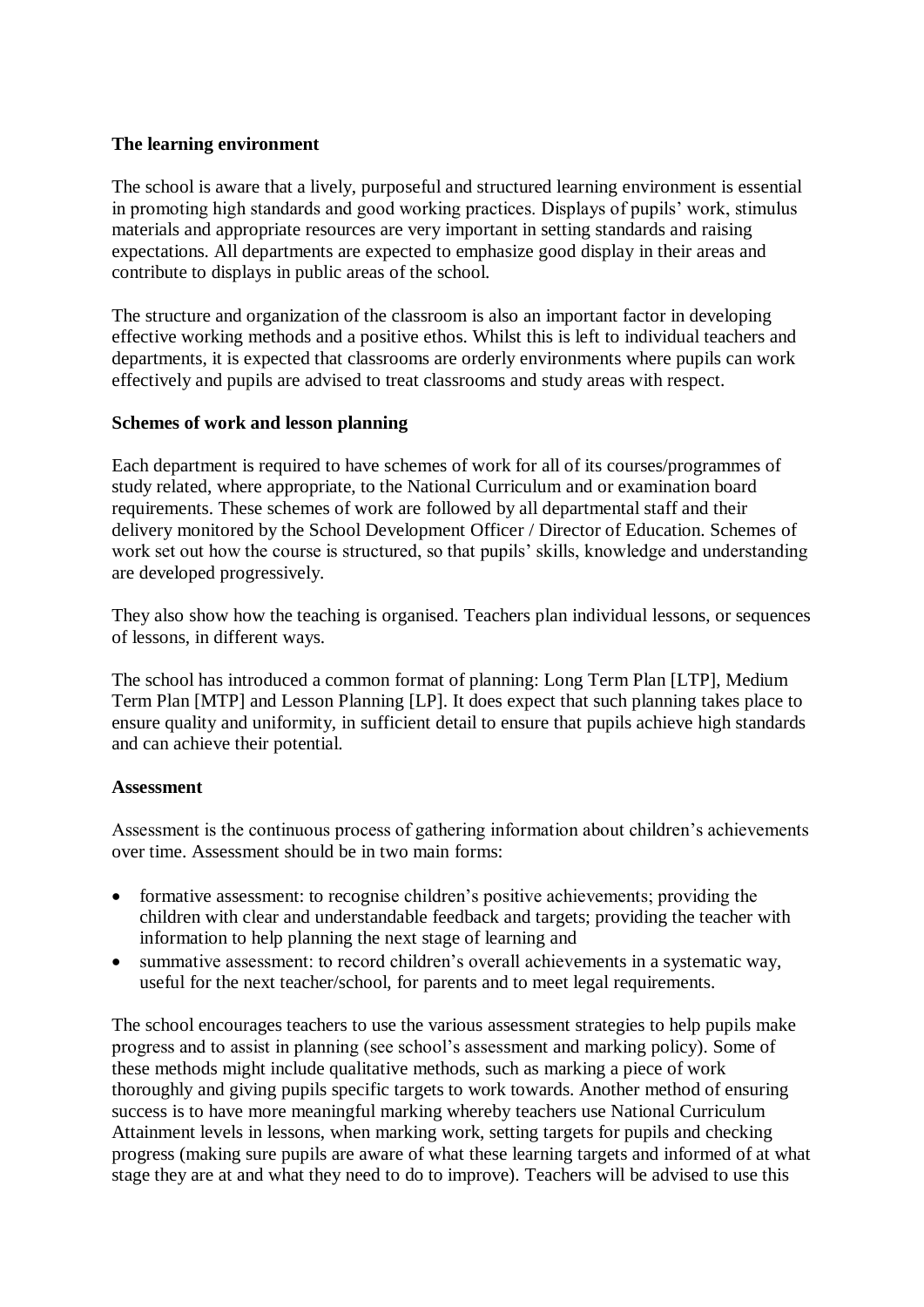#### **The learning environment**

The school is aware that a lively, purposeful and structured learning environment is essential in promoting high standards and good working practices. Displays of pupils' work, stimulus materials and appropriate resources are very important in setting standards and raising expectations. All departments are expected to emphasize good display in their areas and contribute to displays in public areas of the school.

The structure and organization of the classroom is also an important factor in developing effective working methods and a positive ethos. Whilst this is left to individual teachers and departments, it is expected that classrooms are orderly environments where pupils can work effectively and pupils are advised to treat classrooms and study areas with respect.

#### **Schemes of work and lesson planning**

Each department is required to have schemes of work for all of its courses/programmes of study related, where appropriate, to the National Curriculum and or examination board requirements. These schemes of work are followed by all departmental staff and their delivery monitored by the School Development Officer / Director of Education. Schemes of work set out how the course is structured, so that pupils' skills, knowledge and understanding are developed progressively.

They also show how the teaching is organised. Teachers plan individual lessons, or sequences of lessons, in different ways.

The school has introduced a common format of planning: Long Term Plan [LTP], Medium Term Plan [MTP] and Lesson Planning [LP]. It does expect that such planning takes place to ensure quality and uniformity, in sufficient detail to ensure that pupils achieve high standards and can achieve their potential.

#### **Assessment**

Assessment is the continuous process of gathering information about children's achievements over time. Assessment should be in two main forms:

- formative assessment: to recognise children's positive achievements; providing the children with clear and understandable feedback and targets; providing the teacher with information to help planning the next stage of learning and
- summative assessment: to record children's overall achievements in a systematic way, useful for the next teacher/school, for parents and to meet legal requirements.

The school encourages teachers to use the various assessment strategies to help pupils make progress and to assist in planning (see school's assessment and marking policy). Some of these methods might include qualitative methods, such as marking a piece of work thoroughly and giving pupils specific targets to work towards. Another method of ensuring success is to have more meaningful marking whereby teachers use National Curriculum Attainment levels in lessons, when marking work, setting targets for pupils and checking progress (making sure pupils are aware of what these learning targets and informed of at what stage they are at and what they need to do to improve). Teachers will be advised to use this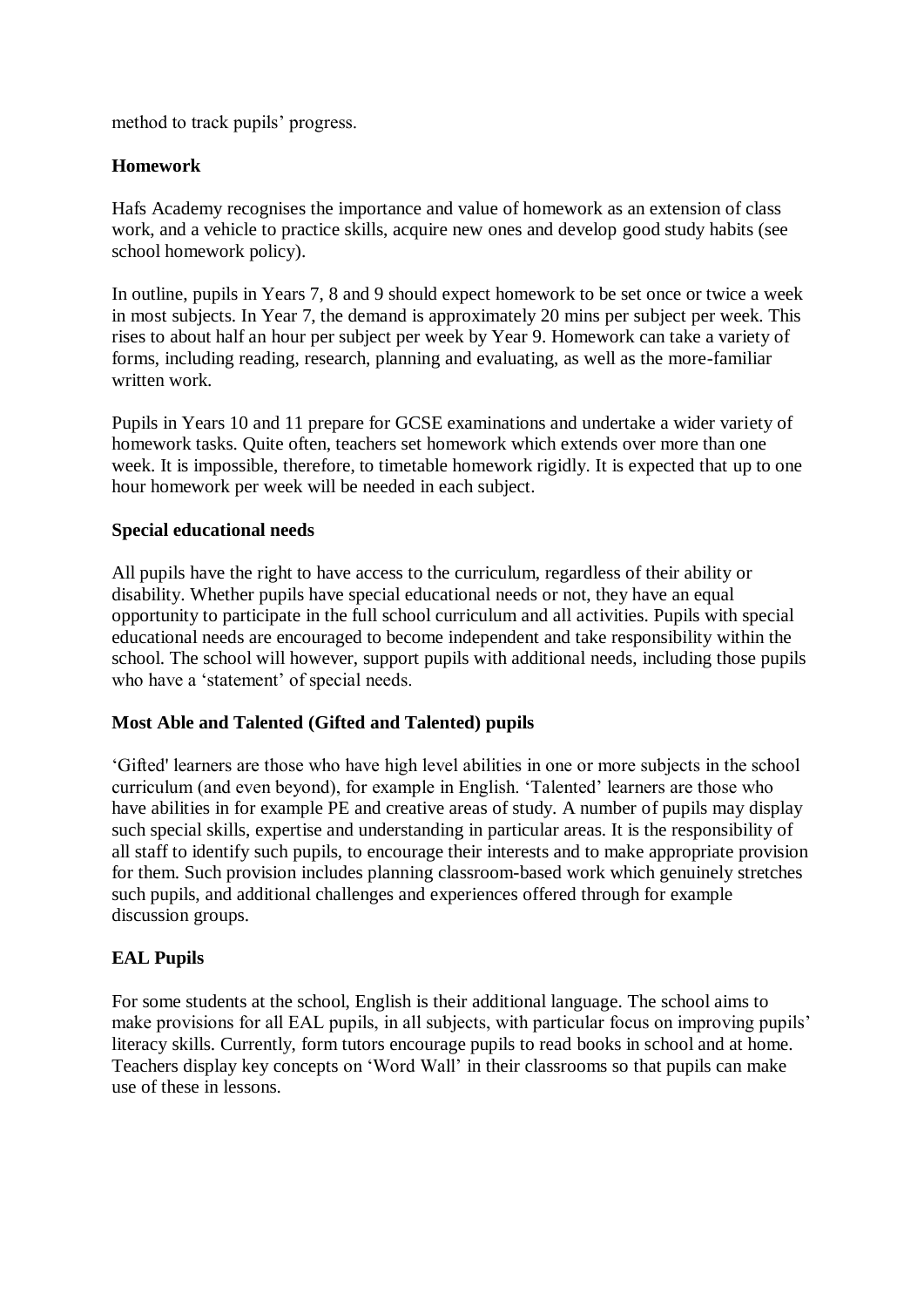method to track pupils' progress.

#### **Homework**

Hafs Academy recognises the importance and value of homework as an extension of class work, and a vehicle to practice skills, acquire new ones and develop good study habits (see school homework policy).

In outline, pupils in Years 7, 8 and 9 should expect homework to be set once or twice a week in most subjects. In Year 7, the demand is approximately 20 mins per subject per week. This rises to about half an hour per subject per week by Year 9. Homework can take a variety of forms, including reading, research, planning and evaluating, as well as the more-familiar written work.

Pupils in Years 10 and 11 prepare for GCSE examinations and undertake a wider variety of homework tasks. Quite often, teachers set homework which extends over more than one week. It is impossible, therefore, to timetable homework rigidly. It is expected that up to one hour homework per week will be needed in each subject.

#### **Special educational needs**

All pupils have the right to have access to the curriculum, regardless of their ability or disability. Whether pupils have special educational needs or not, they have an equal opportunity to participate in the full school curriculum and all activities. Pupils with special educational needs are encouraged to become independent and take responsibility within the school. The school will however, support pupils with additional needs, including those pupils who have a 'statement' of special needs.

#### **Most Able and Talented (Gifted and Talented) pupils**

'Gifted' learners are those who have high level abilities in one or more subjects in the school curriculum (and even beyond), for example in English. 'Talented' learners are those who have abilities in for example PE and creative areas of study. A number of pupils may display such special skills, expertise and understanding in particular areas. It is the responsibility of all staff to identify such pupils, to encourage their interests and to make appropriate provision for them. Such provision includes planning classroom-based work which genuinely stretches such pupils, and additional challenges and experiences offered through for example discussion groups.

#### **EAL Pupils**

For some students at the school, English is their additional language. The school aims to make provisions for all EAL pupils, in all subjects, with particular focus on improving pupils' literacy skills. Currently, form tutors encourage pupils to read books in school and at home. Teachers display key concepts on 'Word Wall' in their classrooms so that pupils can make use of these in lessons.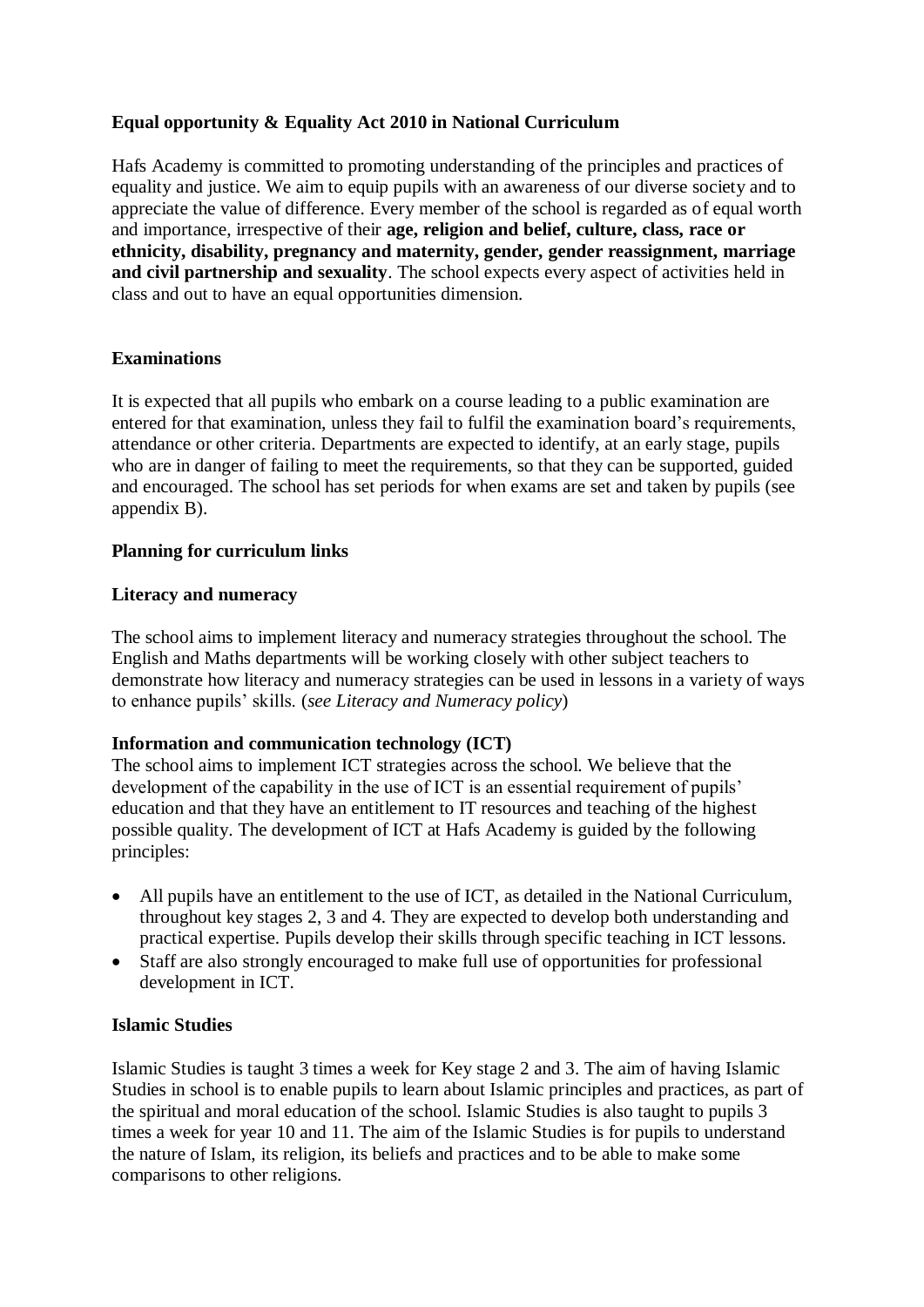#### **Equal opportunity & Equality Act 2010 in National Curriculum**

Hafs Academy is committed to promoting understanding of the principles and practices of equality and justice. We aim to equip pupils with an awareness of our diverse society and to appreciate the value of difference. Every member of the school is regarded as of equal worth and importance, irrespective of their **age, religion and belief, culture, class, race or ethnicity, disability, pregnancy and maternity, gender, gender reassignment, marriage and civil partnership and sexuality**. The school expects every aspect of activities held in class and out to have an equal opportunities dimension.

#### **Examinations**

It is expected that all pupils who embark on a course leading to a public examination are entered for that examination, unless they fail to fulfil the examination board's requirements, attendance or other criteria. Departments are expected to identify, at an early stage, pupils who are in danger of failing to meet the requirements, so that they can be supported, guided and encouraged. The school has set periods for when exams are set and taken by pupils (see appendix B).

#### **Planning for curriculum links**

#### **Literacy and numeracy**

The school aims to implement literacy and numeracy strategies throughout the school. The English and Maths departments will be working closely with other subject teachers to demonstrate how literacy and numeracy strategies can be used in lessons in a variety of ways to enhance pupils' skills. (*see Literacy and Numeracy policy*)

#### **Information and communication technology (ICT)**

The school aims to implement ICT strategies across the school. We believe that the development of the capability in the use of ICT is an essential requirement of pupils' education and that they have an entitlement to IT resources and teaching of the highest possible quality. The development of ICT at Hafs Academy is guided by the following principles:

- All pupils have an entitlement to the use of ICT, as detailed in the National Curriculum, throughout key stages 2, 3 and 4. They are expected to develop both understanding and practical expertise. Pupils develop their skills through specific teaching in ICT lessons.
- Staff are also strongly encouraged to make full use of opportunities for professional development in ICT.

#### **Islamic Studies**

Islamic Studies is taught 3 times a week for Key stage 2 and 3. The aim of having Islamic Studies in school is to enable pupils to learn about Islamic principles and practices, as part of the spiritual and moral education of the school. Islamic Studies is also taught to pupils 3 times a week for year 10 and 11. The aim of the Islamic Studies is for pupils to understand the nature of Islam, its religion, its beliefs and practices and to be able to make some comparisons to other religions.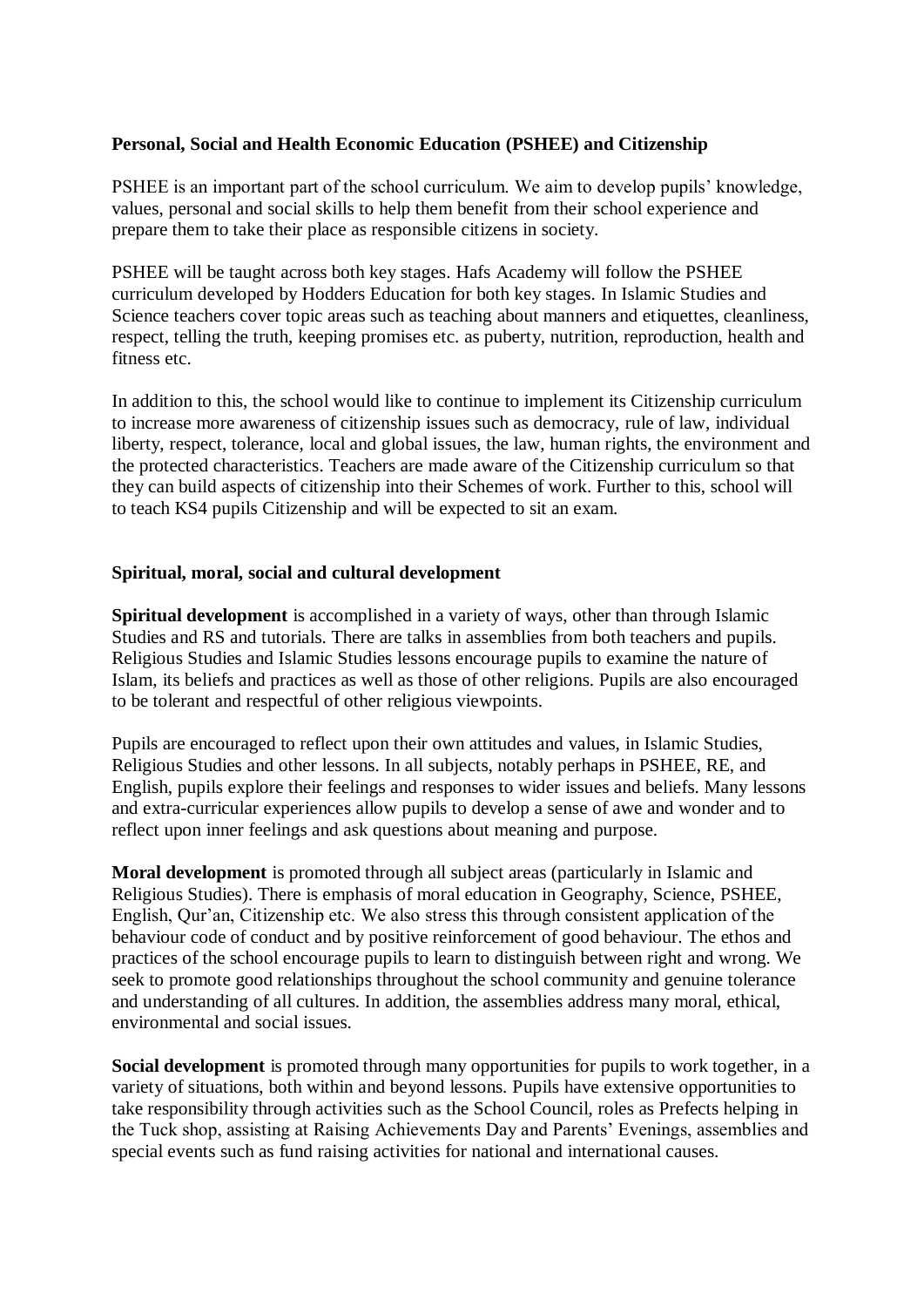#### **Personal, Social and Health Economic Education (PSHEE) and Citizenship**

PSHEE is an important part of the school curriculum. We aim to develop pupils' knowledge, values, personal and social skills to help them benefit from their school experience and prepare them to take their place as responsible citizens in society.

PSHEE will be taught across both key stages. Hafs Academy will follow the PSHEE curriculum developed by Hodders Education for both key stages. In Islamic Studies and Science teachers cover topic areas such as teaching about manners and etiquettes, cleanliness, respect, telling the truth, keeping promises etc. as puberty, nutrition, reproduction, health and fitness etc.

In addition to this, the school would like to continue to implement its Citizenship curriculum to increase more awareness of citizenship issues such as democracy, rule of law, individual liberty, respect, tolerance, local and global issues, the law, human rights, the environment and the protected characteristics. Teachers are made aware of the Citizenship curriculum so that they can build aspects of citizenship into their Schemes of work. Further to this, school will to teach KS4 pupils Citizenship and will be expected to sit an exam.

#### **Spiritual, moral, social and cultural development**

**Spiritual development** is accomplished in a variety of ways, other than through Islamic Studies and RS and tutorials. There are talks in assemblies from both teachers and pupils. Religious Studies and Islamic Studies lessons encourage pupils to examine the nature of Islam, its beliefs and practices as well as those of other religions. Pupils are also encouraged to be tolerant and respectful of other religious viewpoints.

Pupils are encouraged to reflect upon their own attitudes and values, in Islamic Studies, Religious Studies and other lessons. In all subjects, notably perhaps in PSHEE, RE, and English, pupils explore their feelings and responses to wider issues and beliefs. Many lessons and extra-curricular experiences allow pupils to develop a sense of awe and wonder and to reflect upon inner feelings and ask questions about meaning and purpose.

**Moral development** is promoted through all subject areas (particularly in Islamic and Religious Studies). There is emphasis of moral education in Geography, Science, PSHEE, English, Qur'an, Citizenship etc. We also stress this through consistent application of the behaviour code of conduct and by positive reinforcement of good behaviour. The ethos and practices of the school encourage pupils to learn to distinguish between right and wrong. We seek to promote good relationships throughout the school community and genuine tolerance and understanding of all cultures. In addition, the assemblies address many moral, ethical, environmental and social issues.

**Social development** is promoted through many opportunities for pupils to work together, in a variety of situations, both within and beyond lessons. Pupils have extensive opportunities to take responsibility through activities such as the School Council, roles as Prefects helping in the Tuck shop, assisting at Raising Achievements Day and Parents' Evenings, assemblies and special events such as fund raising activities for national and international causes.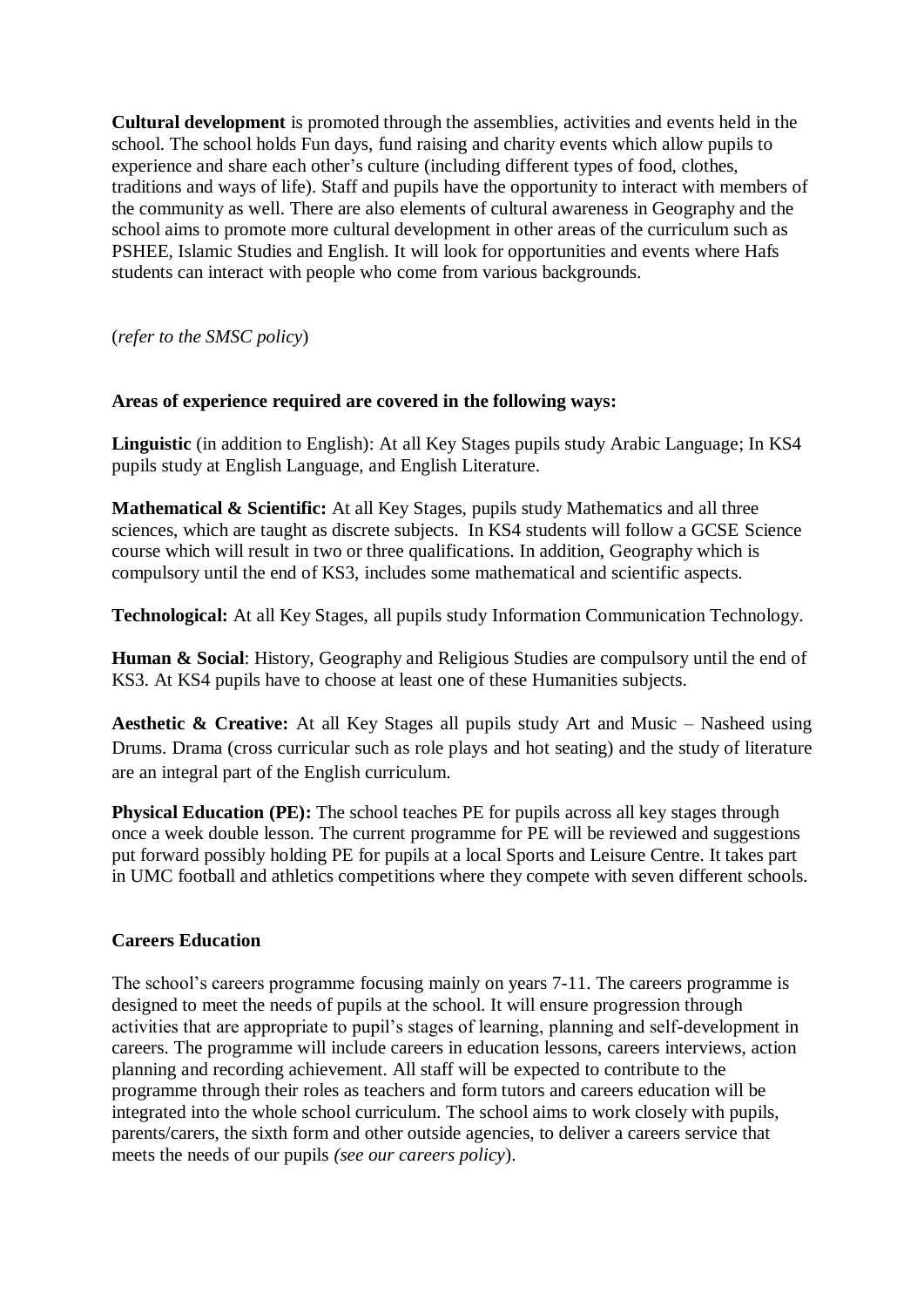**Cultural development** is promoted through the assemblies, activities and events held in the school. The school holds Fun days, fund raising and charity events which allow pupils to experience and share each other's culture (including different types of food, clothes, traditions and ways of life). Staff and pupils have the opportunity to interact with members of the community as well. There are also elements of cultural awareness in Geography and the school aims to promote more cultural development in other areas of the curriculum such as PSHEE, Islamic Studies and English. It will look for opportunities and events where Hafs students can interact with people who come from various backgrounds.

(*refer to the SMSC policy*)

#### **Areas of experience required are covered in the following ways:**

**Linguistic** (in addition to English): At all Key Stages pupils study Arabic Language; In KS4 pupils study at English Language, and English Literature.

**Mathematical & Scientific:** At all Key Stages, pupils study Mathematics and all three sciences, which are taught as discrete subjects. In KS4 students will follow a GCSE Science course which will result in two or three qualifications. In addition, Geography which is compulsory until the end of KS3, includes some mathematical and scientific aspects.

**Technological:** At all Key Stages, all pupils study Information Communication Technology.

**Human & Social**: History, Geography and Religious Studies are compulsory until the end of KS3. At KS4 pupils have to choose at least one of these Humanities subjects.

**Aesthetic & Creative:** At all Key Stages all pupils study Art and Music – Nasheed using Drums. Drama (cross curricular such as role plays and hot seating) and the study of literature are an integral part of the English curriculum.

**Physical Education (PE):** The school teaches PE for pupils across all key stages through once a week double lesson. The current programme for PE will be reviewed and suggestions put forward possibly holding PE for pupils at a local Sports and Leisure Centre. It takes part in UMC football and athletics competitions where they compete with seven different schools.

#### **Careers Education**

The school's careers programme focusing mainly on years 7-11. The careers programme is designed to meet the needs of pupils at the school. It will ensure progression through activities that are appropriate to pupil's stages of learning, planning and self-development in careers. The programme will include careers in education lessons, careers interviews, action planning and recording achievement. All staff will be expected to contribute to the programme through their roles as teachers and form tutors and careers education will be integrated into the whole school curriculum. The school aims to work closely with pupils, parents/carers, the sixth form and other outside agencies, to deliver a careers service that meets the needs of our pupils *(see our careers policy*).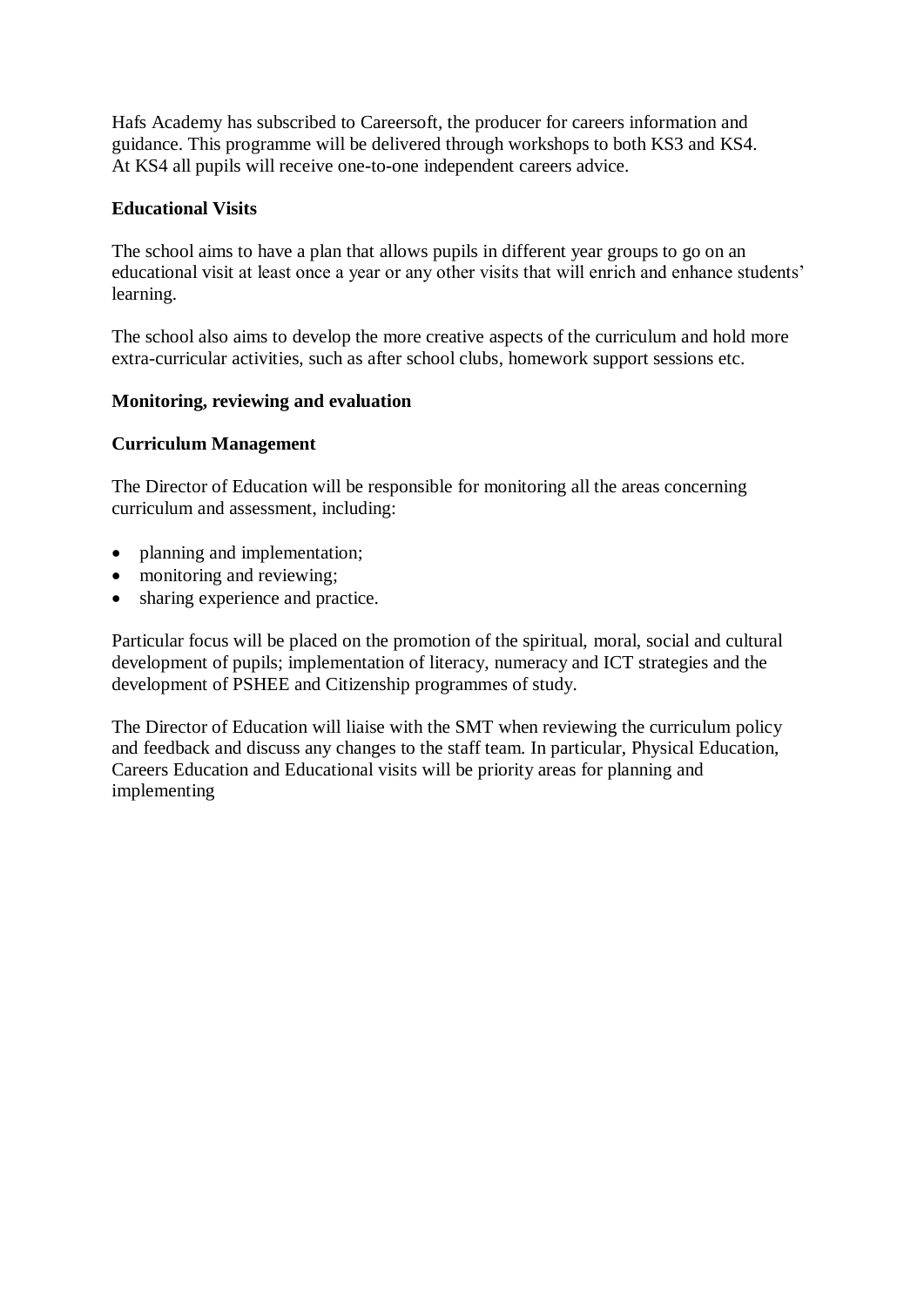Hafs Academy has subscribed to Careersoft, the producer for careers information and guidance. This programme will be delivered through workshops to both KS3 and KS4. At KS4 all pupils will receive one-to-one independent careers advice.

#### **Educational Visits**

The school aims to have a plan that allows pupils in different year groups to go on an educational visit at least once a year or any other visits that will enrich and enhance students' learning.

The school also aims to develop the more creative aspects of the curriculum and hold more extra-curricular activities, such as after school clubs, homework support sessions etc.

#### **Monitoring, reviewing and evaluation**

#### **Curriculum Management**

The Director of Education will be responsible for monitoring all the areas concerning curriculum and assessment, including:

- planning and implementation;
- monitoring and reviewing;
- sharing experience and practice.

Particular focus will be placed on the promotion of the spiritual, moral, social and cultural development of pupils; implementation of literacy, numeracy and ICT strategies and the development of PSHEE and Citizenship programmes of study.

The Director of Education will liaise with the SMT when reviewing the curriculum policy and feedback and discuss any changes to the staff team. In particular, Physical Education, Careers Education and Educational visits will be priority areas for planning and implementing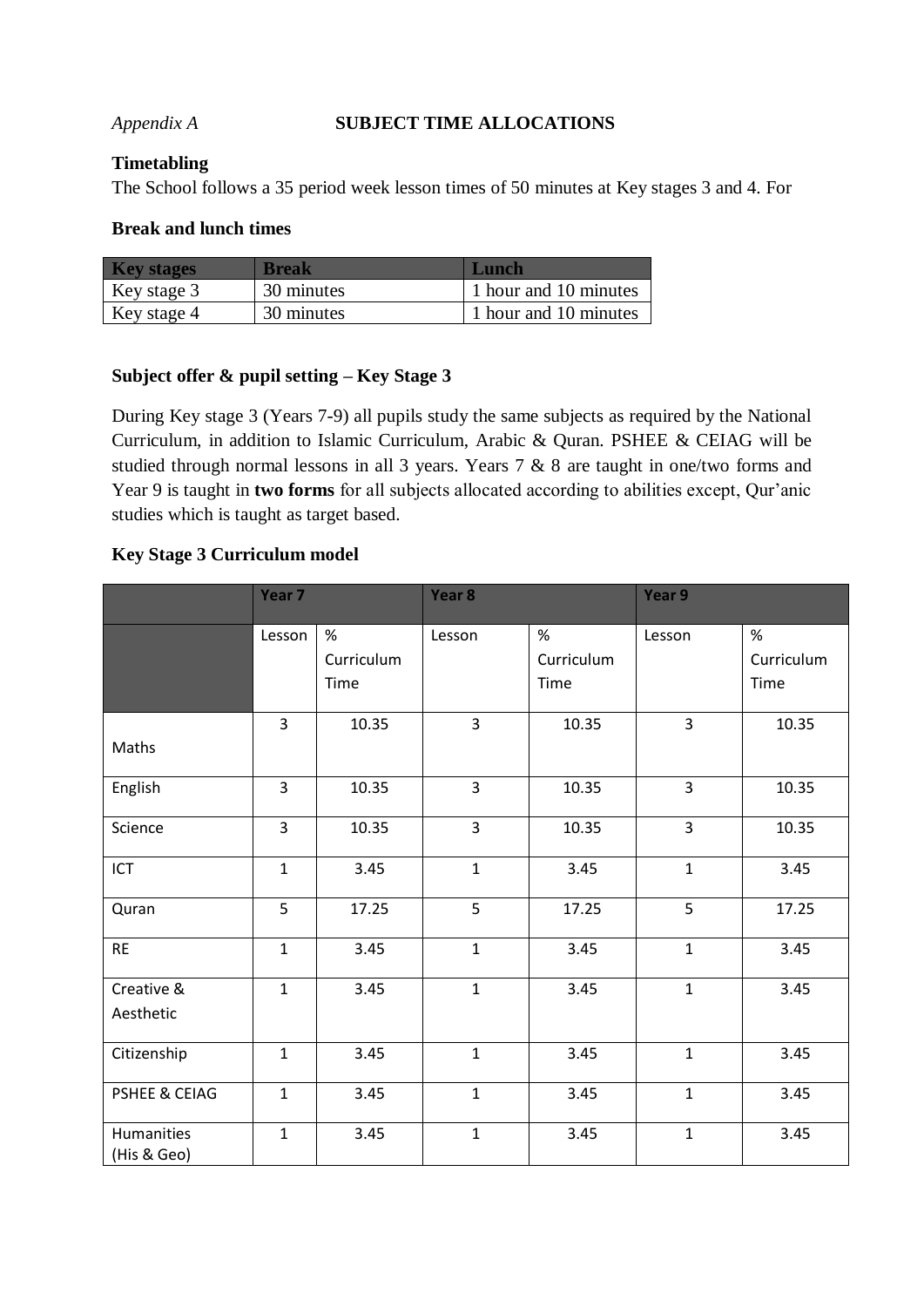#### *Appendix A* **SUBJECT TIME ALLOCATIONS**

#### **Timetabling**

The School follows a 35 period week lesson times of 50 minutes at Key stages 3 and 4. For

#### **Break and lunch times**

| <b>Key stages</b> | <b>Break</b> | Lunch                 |
|-------------------|--------------|-----------------------|
| Key stage 3       | 30 minutes   | 1 hour and 10 minutes |
| Key stage 4       | 30 minutes   | 1 hour and 10 minutes |

#### **Subject offer & pupil setting – Key Stage 3**

During Key stage 3 (Years 7-9) all pupils study the same subjects as required by the National Curriculum, in addition to Islamic Curriculum, Arabic & Quran. PSHEE & CEIAG will be studied through normal lessons in all 3 years. Years 7 & 8 are taught in one/two forms and Year 9 is taught in **two forms** for all subjects allocated according to abilities except, Qur'anic studies which is taught as target based.

#### **Key Stage 3 Curriculum model**

|                           | Year 7         |                         | Year <sub>8</sub> |                         | Year 9         |                         |
|---------------------------|----------------|-------------------------|-------------------|-------------------------|----------------|-------------------------|
|                           | Lesson         | %<br>Curriculum<br>Time | Lesson            | %<br>Curriculum<br>Time | Lesson         | %<br>Curriculum<br>Time |
| Maths                     | $\overline{3}$ | 10.35                   | $\overline{3}$    | 10.35                   | $\overline{3}$ | 10.35                   |
| English                   | $\overline{3}$ | 10.35                   | 3                 | 10.35                   | $\overline{3}$ | 10.35                   |
| Science                   | 3              | 10.35                   | 3                 | 10.35                   | 3              | 10.35                   |
| ICT                       | $\mathbf{1}$   | 3.45                    | $\mathbf{1}$      | 3.45                    | $\mathbf{1}$   | 3.45                    |
| Quran                     | 5              | 17.25                   | 5                 | 17.25                   | 5              | 17.25                   |
| <b>RE</b>                 | $\mathbf{1}$   | 3.45                    | $\mathbf{1}$      | 3.45                    | $\mathbf{1}$   | 3.45                    |
| Creative &<br>Aesthetic   | $\mathbf{1}$   | 3.45                    | $\mathbf{1}$      | 3.45                    | $\mathbf{1}$   | 3.45                    |
| Citizenship               | $\mathbf{1}$   | 3.45                    | $\mathbf{1}$      | 3.45                    | $\mathbf{1}$   | 3.45                    |
| PSHEE & CEIAG             | $\mathbf{1}$   | 3.45                    | $\mathbf{1}$      | 3.45                    | $\mathbf{1}$   | 3.45                    |
| Humanities<br>(His & Geo) | $\mathbf{1}$   | 3.45                    | $\mathbf{1}$      | 3.45                    | $\mathbf{1}$   | 3.45                    |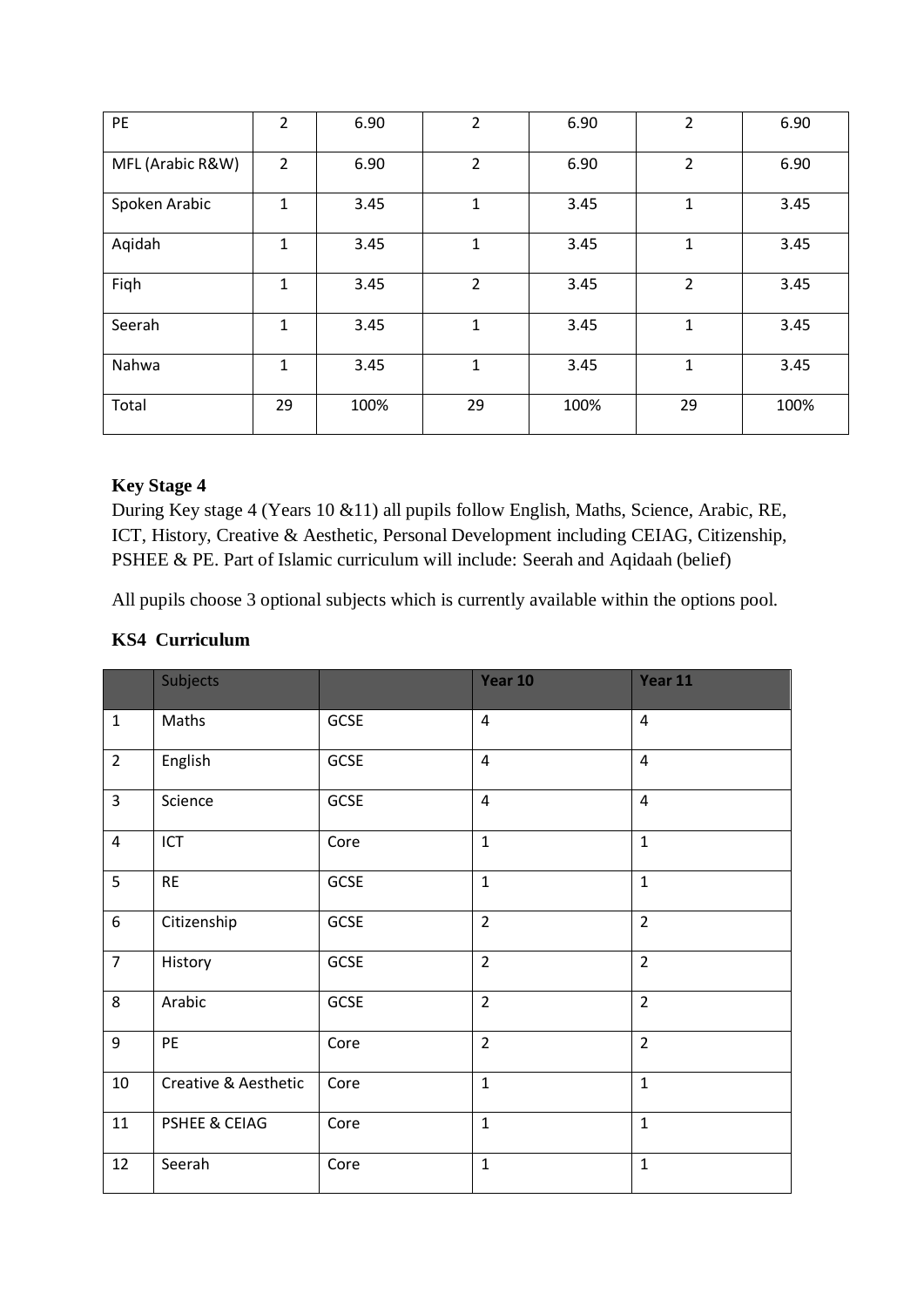| PE               | $\overline{2}$ | 6.90 | $\overline{2}$ | 6.90 | $\overline{2}$ | 6.90 |
|------------------|----------------|------|----------------|------|----------------|------|
| MFL (Arabic R&W) | $\overline{2}$ | 6.90 | 2              | 6.90 | $\overline{2}$ | 6.90 |
| Spoken Arabic    | 1              | 3.45 | 1              | 3.45 | 1              | 3.45 |
| Aqidah           | 1              | 3.45 | 1              | 3.45 | 1              | 3.45 |
| Fiqh             | 1              | 3.45 | $\overline{2}$ | 3.45 | $\overline{2}$ | 3.45 |
| Seerah           | 1              | 3.45 | 1              | 3.45 | 1              | 3.45 |
| Nahwa            | 1              | 3.45 | $\mathbf{1}$   | 3.45 | 1              | 3.45 |
| Total            | 29             | 100% | 29             | 100% | 29             | 100% |

#### **Key Stage 4**

During Key stage 4 (Years 10 &11) all pupils follow English, Maths, Science, Arabic, RE, ICT, History, Creative & Aesthetic, Personal Development including CEIAG, Citizenship, PSHEE & PE. Part of Islamic curriculum will include: Seerah and Aqidaah (belief)

All pupils choose 3 optional subjects which is currently available within the options pool.

#### **KS4 Curriculum**

|                  | Subjects                 |             | Year 10        | Year 11        |
|------------------|--------------------------|-------------|----------------|----------------|
| $\mathbf{1}$     | Maths                    | GCSE        | $\overline{4}$ | $\overline{4}$ |
| $\overline{2}$   | English                  | GCSE        | $\overline{4}$ | $\overline{4}$ |
| $\overline{3}$   | Science                  | GCSE        | $\overline{4}$ | $\overline{4}$ |
| $\overline{4}$   | ICT                      | Core        | $\mathbf{1}$   | $\mathbf{1}$   |
| 5                | <b>RE</b>                | GCSE        | $\mathbf{1}$   | $\mathbf{1}$   |
| $\boldsymbol{6}$ | Citizenship              | GCSE        | $\overline{2}$ | $\overline{2}$ |
| $\overline{7}$   | History                  | <b>GCSE</b> | $\overline{2}$ | $\overline{2}$ |
| 8                | Arabic                   | GCSE        | $\overline{2}$ | $\overline{2}$ |
| 9                | PE                       | Core        | $\overline{2}$ | $\overline{2}$ |
| 10               | Creative & Aesthetic     | Core        | $\mathbf{1}$   | $\mathbf{1}$   |
| 11               | <b>PSHEE &amp; CEIAG</b> | Core        | $\mathbf{1}$   | $\mathbf{1}$   |
| 12               | Seerah                   | Core        | $\mathbf 1$    | $\mathbf{1}$   |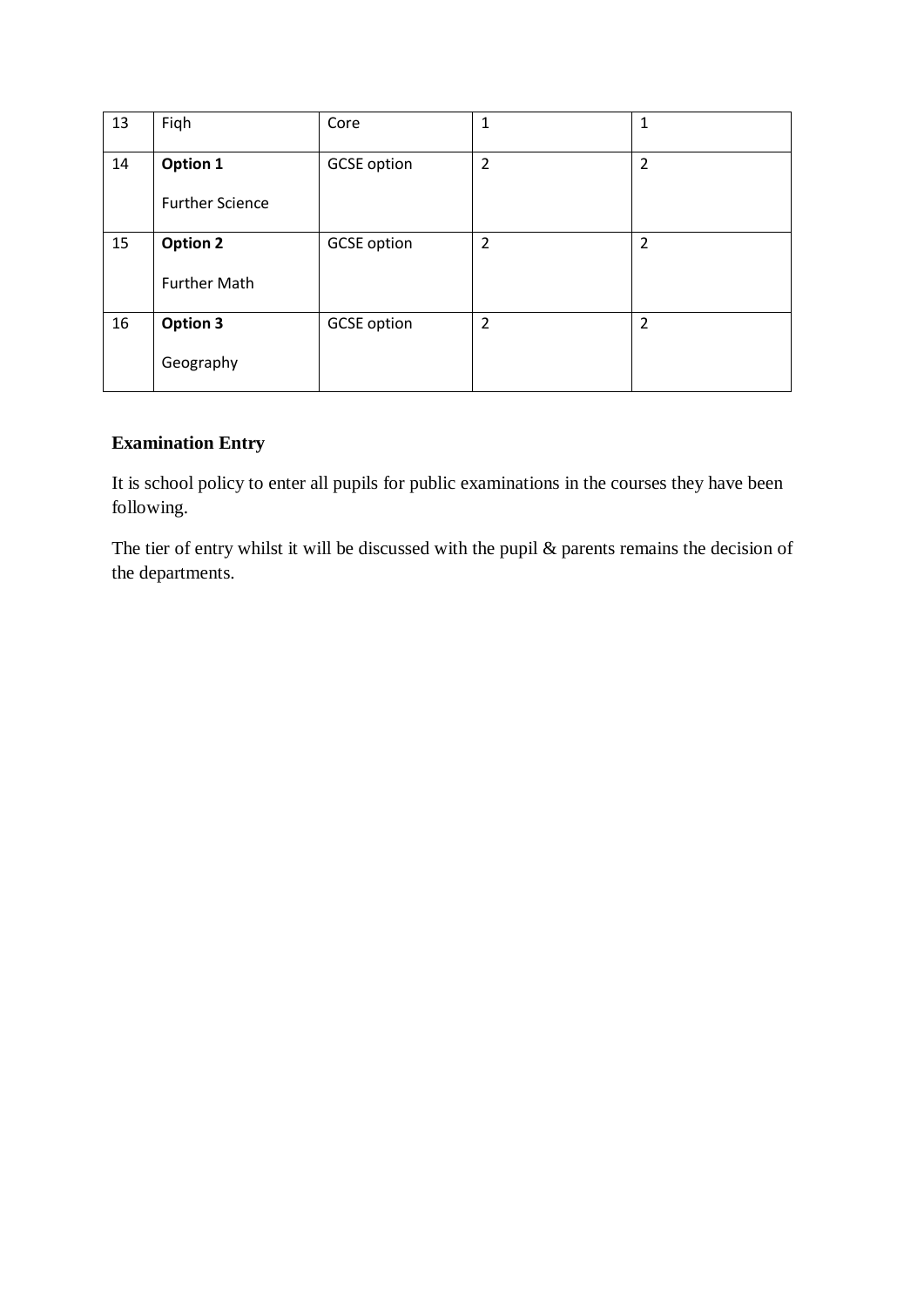| 13 | Fiqh                   | Core               | 1              | 1              |
|----|------------------------|--------------------|----------------|----------------|
| 14 | Option 1               | <b>GCSE</b> option | $\overline{2}$ | $\overline{2}$ |
|    | <b>Further Science</b> |                    |                |                |
| 15 | <b>Option 2</b>        | <b>GCSE</b> option | $\overline{2}$ | $\overline{2}$ |
|    | <b>Further Math</b>    |                    |                |                |
| 16 | <b>Option 3</b>        | <b>GCSE</b> option | $\overline{2}$ | $\overline{2}$ |
|    | Geography              |                    |                |                |

### **Examination Entry**

It is school policy to enter all pupils for public examinations in the courses they have been following.

The tier of entry whilst it will be discussed with the pupil & parents remains the decision of the departments.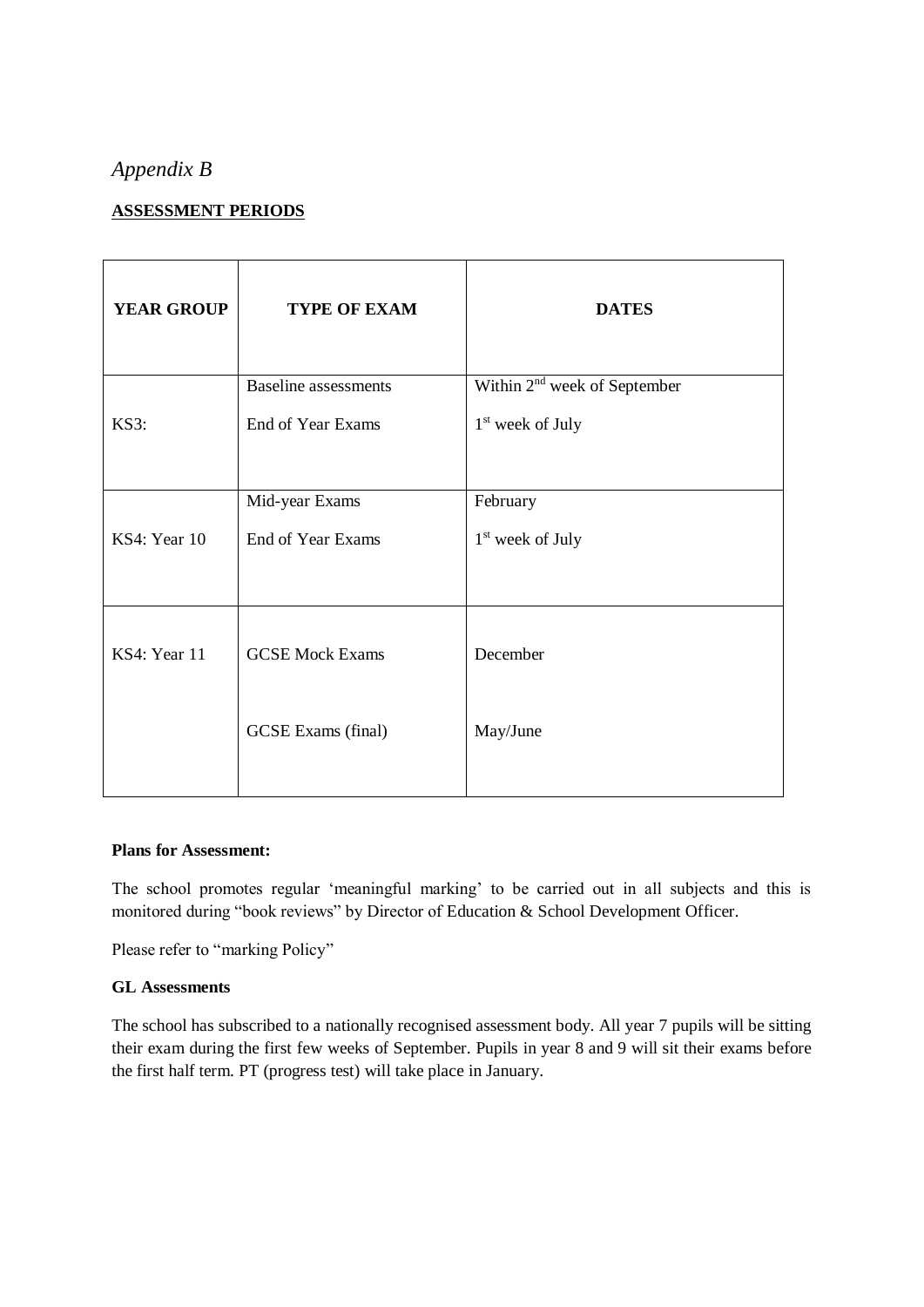# *Appendix B*

#### **ASSESSMENT PERIODS**

| <b>YEAR GROUP</b> | <b>TYPE OF EXAM</b>         | <b>DATES</b>                             |
|-------------------|-----------------------------|------------------------------------------|
|                   | <b>Baseline</b> assessments | Within 2 <sup>nd</sup> week of September |
| KS3:              | End of Year Exams           | 1 <sup>st</sup> week of July             |
|                   |                             |                                          |
|                   | Mid-year Exams              | February                                 |
| KS4: Year 10      | End of Year Exams           | $1st$ week of July                       |
|                   |                             |                                          |
|                   |                             |                                          |
| KS4: Year 11      | <b>GCSE Mock Exams</b>      | December                                 |
|                   |                             |                                          |
|                   | <b>GCSE</b> Exams (final)   | May/June                                 |
|                   |                             |                                          |

#### **Plans for Assessment:**

The school promotes regular 'meaningful marking' to be carried out in all subjects and this is monitored during "book reviews" by Director of Education & School Development Officer.

Please refer to "marking Policy"

#### **GL Assessments**

The school has subscribed to a nationally recognised assessment body. All year 7 pupils will be sitting their exam during the first few weeks of September. Pupils in year 8 and 9 will sit their exams before the first half term. PT (progress test) will take place in January.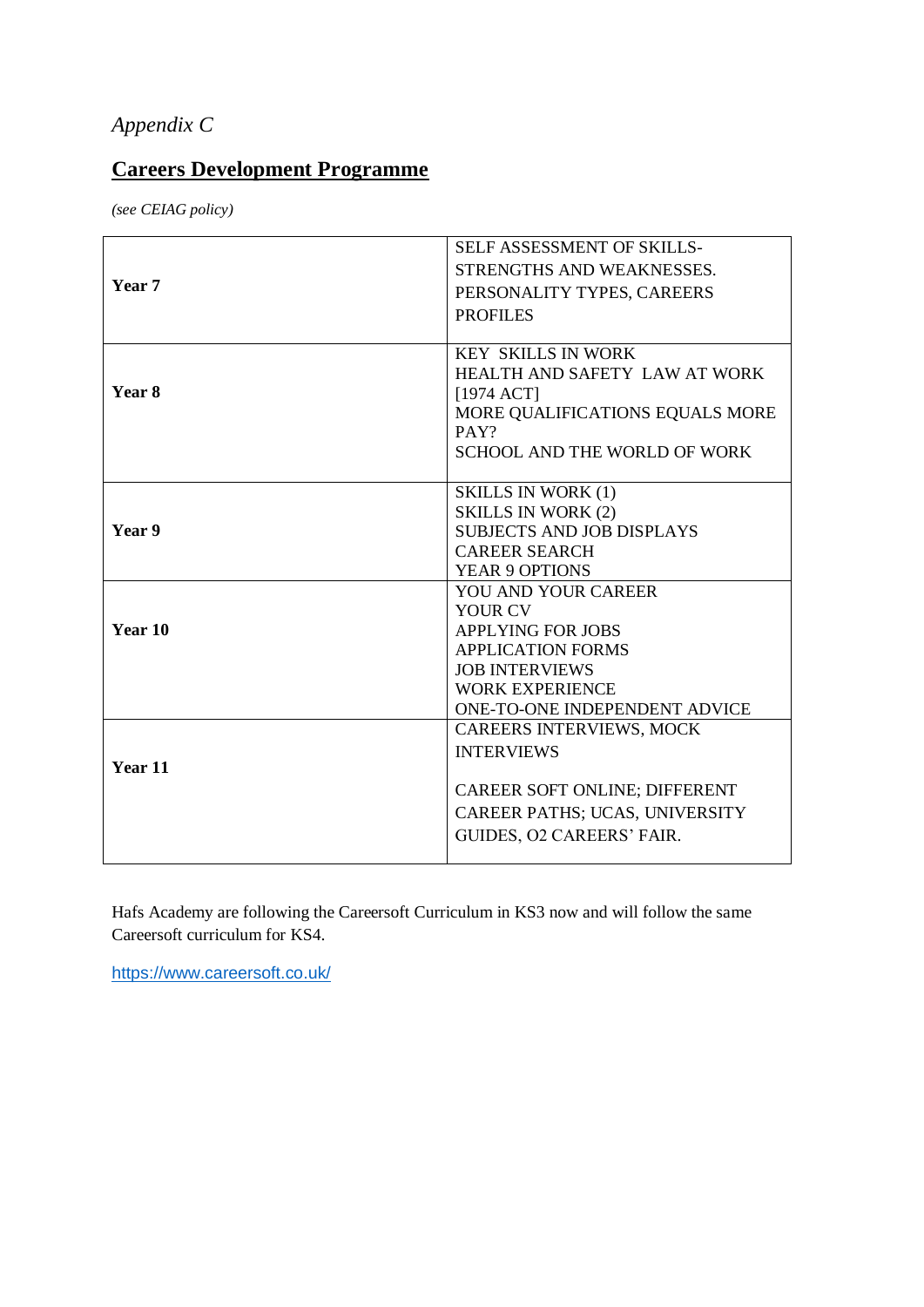# *Appendix C*

# **Careers Development Programme**

*(see CEIAG policy)*

|         | SELF ASSESSMENT OF SKILLS-          |
|---------|-------------------------------------|
|         | STRENGTHS AND WEAKNESSES.           |
| Year 7  | PERSONALITY TYPES, CAREERS          |
|         | <b>PROFILES</b>                     |
|         |                                     |
|         | <b>KEY SKILLS IN WORK</b>           |
|         | HEALTH AND SAFETY LAW AT WORK       |
| Year 8  | [1974 ACT]                          |
|         | MORE QUALIFICATIONS EQUALS MORE     |
|         | PAY?                                |
|         | <b>SCHOOL AND THE WORLD OF WORK</b> |
|         | <b>SKILLS IN WORK (1)</b>           |
|         | <b>SKILLS IN WORK (2)</b>           |
| Year 9  | <b>SUBJECTS AND JOB DISPLAYS</b>    |
|         | <b>CAREER SEARCH</b>                |
|         | YEAR 9 OPTIONS                      |
|         | YOU AND YOUR CAREER                 |
|         | YOUR CV                             |
| Year 10 | <b>APPLYING FOR JOBS</b>            |
|         | <b>APPLICATION FORMS</b>            |
|         | <b>JOB INTERVIEWS</b>               |
|         | <b>WORK EXPERIENCE</b>              |
|         | ONE-TO-ONE INDEPENDENT ADVICE       |
|         | CAREERS INTERVIEWS, MOCK            |
|         | <b>INTERVIEWS</b>                   |
| Year 11 |                                     |
|         | CAREER SOFT ONLINE; DIFFERENT       |
|         | CAREER PATHS; UCAS, UNIVERSITY      |
|         | GUIDES, O2 CAREERS' FAIR.           |
|         |                                     |

Hafs Academy are following the Careersoft Curriculum in KS3 now and will follow the same Careersoft curriculum for KS4.

<https://www.careersoft.co.uk/>